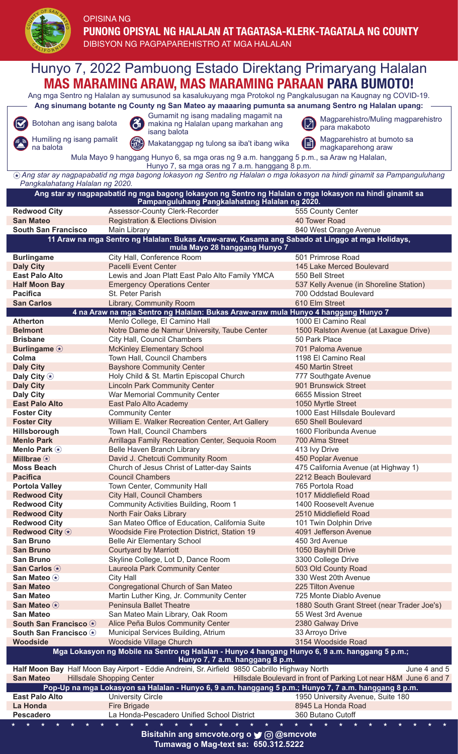

## OPISINA NG **PUNONG OPISYAL NG HALALAN AT TAGATASA-KLERK-TAGATALA NG COUNTY**

DIBISYON NG PAGPAPARFHISTRO AT MGA HALALAN

Hunyo 7, 2022 Pambuong Estado Direktang Primaryang Halalan**MAS MARAMING ARAW, MAS MARAMING PARAAN PARA BUMOTO!** Ang mga Sentro ng Halalan ay sumusunod sa kasalukuyang mga Protokol ng Pangkalusugan na Kaugnay ng COVID-19. **Ang sinumang botante ng County ng San Mateo ay maaaring pumunta sa anumang Sentro ng Halalan upang:** Gumamit ng isang madaling magamit na Botohan ang isang balota **Magparehistro Magparehistro/Muling magparehistro** makina ng Magparehistro magparehistro Ø para makaboto isang balota Humiling ng isang pamalit Magparehistro at bumoto sa Makatanggap ng tulong sa iba't ibang wika (l≡ magkaparehong araw Mula Mayo 9 hanggang Hunyo 6, sa mga oras ng 9 a.m. hanggang 5 p.m., sa Araw ng Halalan, Hunyo 7, sa mga oras ng 7 a.m. hanggang 8 p.m.  *Ang star ay nagpapabatid ng mga bagong lokasyon ng Sentro ng Halalan o mga lokasyon na hindi ginamit sa Pampanguluhang Pangkalahatang Halalan ng 2020.* **Ang star ay nagpapabatid ng mga bagong lokasyon ng Sentro ng Halalan o mga lokasyon na hindi ginamit sa Pampanguluhang Pangkalahatang Halalan ng 2020.** Redwood City **Assessor-County Clerk-Recorder** 555 County Center **San Mateo** Registration & Elections Division 40 Tower Road **Main Library 620 West Orange Avenue 11 Araw na mga Sentro ng Halalan: Bukas Araw-araw, Kasama ang Sabado at Linggo at mga Holidays, mula Mayo 28 hanggang Hunyo 7 Burlingame** City Hall, Conference Room 501 Primrose Road **Daly City** Pacelli Event Center 145 Lake Merced Boulevard<br> **East Palo Alto Pacelli Event Center 145 Lake Merced Boulevard**<br> **East Palo Alto Pacelli Exerce 2019 East Palo Alto** Lewis and Joan Platt East Palo Alto Family YMCA 550 Bell Street<br> **Half Moon Bay** Emergency Operations Center 537 Kelly Aven **537 Kelly Avenue (in Shoreline Station) Pacifica** St. Peter Parish 700 Oddstad Boulevard **San Carlos** Library, Community Room<br>610 Elm Street 4 na Araw na mga Sentro ng Halalan: Bukas Araw-araw mula Hunyo 4 hanggang Hunyo 7 4 na Araw na mga Sentro ng Halalan: Bukas Araw-araw mula Atherton **Menlo College, El Camino Hall** 1000 El Camino Real **Belmont** Notre Dame de Namur University, Taube Center 1500 Ralston Avenue (at Laxague Drive) **Brisbane City Hall, Council Chambers 50 Park Place 50 Park Place Burlingame McKinley Elementary School** 701 Paloma Avenue<br> **Colma** 701 Paloma Avenue 701 Town Hall, Council Chambers 701 Paloma Avenue 7198 El Camino Real **Colma** Town Hall, Council Chambers **Daly City** Bayshore Community Center **150 Martin Street** 450 Martin Street **Daly City**  $\circ$  **Holy Child & St. Martin Episcopal Church** 777 Southgate Avenue<br> **Daly City Example 2018** Example 2018 Lincoln Park Community Center **Daly City** Lincoln Park Community Center<br> **Daly City** War Memorial Community Center War Memorial Community Center **6655 Mission Street East Palo Alto East Palo Alto Academy** 1050 Myrtle Street Foster City **Community Center** 1000 East Hillsdale Boulevard<br>
Foster City **Community Center Recreation Center, Art Gallery** 650 Shell Boulevard **William E. Walker Recreation Center, Art Gallery Hillsborough Town Hall, Council Chambers 1600 Floribunda Avenue Menlo Park** Arrillaga Family Recreation Center, Sequoia Room 700 Alma Street **Menlo Park**  $\circledast$  **Belle Haven Branch Library 6. According to Australian A13 Ivy Drive Millbrae**  $\circ$  **David J. Chetcuti Community Room** 450 Poplar Avenue<br> **Moss Beach** Church of Jesus Christ of Latter-day Saints 475 California Avenue (at Highway 1) **Church of Jesus Christ of Latter-day Saints Pacifica Council Chambers** 2212 Beach Boulevard<br> **Portola Vallev** Town Center. Community Hall 265 Portola Road **Portola Valley Town Center, Community Hall Redwood City** City Hall, Council Chambers 1017 Middlefield Road **Redwood City** Community Activities Building, Room 1 1400 Roosevelt Avenue<br> **Redwood City** North Fair Oaks Library 1 1400 Roosevelt Avenue **Redwood City** North Fair Oaks Library **Redwood City** San Mateo Office of Education, California Suite 101 Twin Dolphin Drive **Redwood City**  $\circledast$  Woodside Fire Protection District, Station 19 4091 Jefferson Avenue<br> **San Bruno** Belle Air Elementary School 450 3rd Avenue **Belle Air Elementary School San Bruno Courtyard by Marriott** 1050 Bayhill Drive San Bruno<br>
San Carlos **(b)** San Carlos College, Lot D, Dance Room 3300 College Drive<br>
San Carlos **(b)** Laureola Park Community Center 503 Old County Road **San Carlos**  $\circledast$  **Laureola Park Community Center San Mateo**  $\circledast$  **City Hall** San Mateo <sup>(\*</sup> City Hall 330 West 20th Avenue<br> **San Mateo** Congregational Church of San Mateo 225 Tilton Avenue **Congregational Church of San Mateo San Mateo** Martin Luther King, Jr. Community Center **725 Monte Diablo Avenue San Mateo**  $\circledast$  **Peninsula Ballet Theatre** 1880 South Grant Street (near Trader Joe's)<br> **San Mateo** San Mateo Main Library Oak Room 55 West 3rd Avenue San Mateo Main Library, Oak Room 55 West 3rd Avenue **South San Francisco**  $\odot$  Alice Peña Bulos Community Center 2380 Galway Drive **South San Francisco**  $\circledast$  Municipal Services Building, Atrium 33 Arroyo Drive<br> **Woodside** Moodside Village Church 3154 Woodside Road Woodside **Woodside Woodside Church Mga Lokasyon ng Mobile na Sentro ng Halalan - Hunyo 4 hangang Hunyo 6, 9 a.m. hanggang 5 p.m.; Hunyo 7, 7 a.m. hanggang 8 p.m. Half Moon Bay** Half Moon Bay Airport - Eddie Andreini, Sr. Airfield 9850 Cabrillo Highway North June 4 and 5<br>**San Mateo** Hillsdale Shopping Center Hand Thillsdale Boulevard in front of Parking Lot near H&M June 6 and 7 San Mateo Hillsdale Shopping Center Hillsdale Boulevard in front of Parking Lot near H&M June 6 and 7 **Pop-Up na mga Lokasyon sa Halalan - Hunyo 6, 9 a.m. hanggang 5 p.m.; Hunyo 7, 7 a.m. hanggang 8 p.m. East Palo Alto University Circle** 1950 University Avenue, Suite 180 **La Honda** Fire Brigade **Fire Brigade 8945 La Honda Road Pescadero** La Honda-Pescadero Unified School District 360 Butano Cutoff